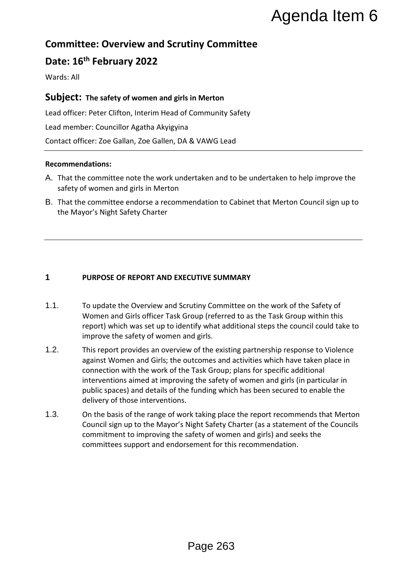# **Committee: Overview and Scrutiny Committee**

# **Date: 16th February 2022**

Wards: All

## **Subject: The safety of women and girls in Merton**

Lead officer: Peter Clifton, Interim Head of Community Safety Lead member: Councillor Agatha Akyigyina Contact officer: Zoe Gallan, Zoe Gallen, DA & VAWG Lead

## **Recommendations:**

- A. That the committee note the work undertaken and to be undertaken to help improve the safety of women and girls in Merton
- B. That the committee endorse a recommendation to Cabinet that Merton Council sign up to the Mayor's Night Safety Charter

## **1 PURPOSE OF REPORT AND EXECUTIVE SUMMARY**

- 1.1. To update the Overview and Scrutiny Committee on the work of the Safety of Women and Girls officer Task Group (referred to as the Task Group within this report) which was set up to identify what additional steps the council could take to improve the safety of women and girls.
- 1.2. This report provides an overview of the existing partnership response to Violence against Women and Girls; the outcomes and activities which have taken place in connection with the work of the Task Group; plans for specific additional interventions aimed at improving the safety of women and girls (in particular in public spaces) and details of the funding which has been secured to enable the delivery of those interventions. **Example 26**<br> **Example 26**<br> **Example 263**<br> **Example 263**<br> **Example 263**<br> **Example 263**<br> **Example 263**<br> **Example 263**<br> **Example 263**<br> **Example 263**<br> **Example 263**<br> **Example 263**<br> **Example 263**<br> **Example 263**<br> **Example 263**<br>
- 1.3. On the basis of the range of work taking place the report recommends that Merton Council sign up to the Mayor's Night Safety Charter (as a statement of the Councils commitment to improving the safety of women and girls) and seeks the committees support and endorsement for this recommendation.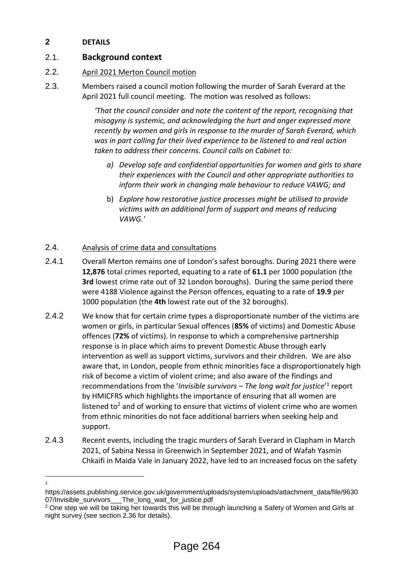## **2 DETAILS**

## 2.1. **Background context**

## 2.2. April 2021 Merton Council motion

2.3. Members raised a council motion following the murder of Sarah Everard at the April 2021 full council meeting. The motion was resolved as follows:

> *'That the council consider and note the content of the report, recognising that misogyny is systemic, and acknowledging the hurt and anger expressed more recently by women and girls in response to the murder of Sarah Everard, which was in part calling for their lived experience to be listened to and real action taken to address their concerns. Council calls on Cabinet to:*

- *a) Develop safe and confidential opportunities for women and girls to share their experiences with the Council and other appropriate authorities to inform their work in changing male behaviour to reduce VAWG; and*
- b) *Explore how restorative justice processes might be utilised to provide victims with an additional form of support and means of reducing VAWG.'*

## 2.4. Analysis of crime data and consultations

- 2.4.1 Overall Merton remains one of London's safest boroughs. During 2021 there were **12,876** total crimes reported, equating to a rate of **61.1** per 1000 population (the **3rd** lowest crime rate out of 32 London boroughs). During the same period there were 4188 Violence against the Person offences, equating to a rate of **19.9** per 1000 population (the **4th** lowest rate out of the 32 boroughs).
- 2.4.2 We know that for certain crime types a disproportionate number of the victims are women or girls, in particular Sexual offences (**85%** of victims) and Domestic Abuse offences (**72%** of victims). In response to which a comprehensive partnership response is in place which aims to prevent Domestic Abuse through early intervention as well as support victims, survivors and their children. We are also aware that, in London, people from ethnic minorities face a disproportionately high risk of become a victim of violent crime; and also aware of the findings and recommendations from the '*Invisible survivors – The long wait for justice*'<sup>1</sup> report by HMICFRS which highlights the importance of ensuring that all women are listened to<sup>2</sup> and of working to ensure that victims of violent crime who are women from ethnic minorities do not face additional barriers when seeking help and support.
- 2.4.3 Recent events, including the tragic murders of Sarah Everard in Clapham in March 2021, of Sabina Nessa in Greenwich in September 2021, and of Wafah Yasmin Chkaifi in Maida Vale in January 2022, have led to an increased focus on the safety

<sup>&</sup>lt;u>.</u> 1

https://assets.publishing.service.gov.uk/government/uploads/system/uploads/attachment\_data/file/9630 07/Invisible\_survivors The\_long\_wait\_for\_justice.pdf

<sup>2</sup> One step we will be taking her towards this will be through launching a Safety of Women and Girls at night survey (see section 2.36 for details).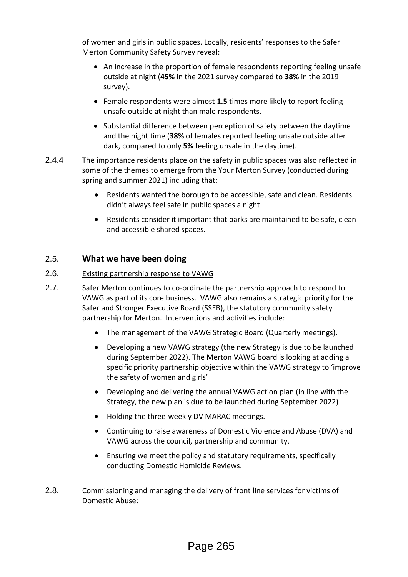of women and girls in public spaces. Locally, residents' responses to the Safer Merton Community Safety Survey reveal:

- An increase in the proportion of female respondents reporting feeling unsafe outside at night (**45%** in the 2021 survey compared to **38%** in the 2019 survey).
- Female respondents were almost **1.5** times more likely to report feeling unsafe outside at night than male respondents.
- Substantial difference between perception of safety between the daytime and the night time (**38%** of females reported feeling unsafe outside after dark, compared to only **5%** feeling unsafe in the daytime).
- 2.4.4 The importance residents place on the safety in public spaces was also reflected in some of the themes to emerge from the Your Merton Survey (conducted during spring and summer 2021) including that:
	- Residents wanted the borough to be accessible, safe and clean. Residents didn't always feel safe in public spaces a night
	- Residents consider it important that parks are maintained to be safe, clean and accessible shared spaces.

## 2.5. **What we have been doing**

## 2.6. Existing partnership response to VAWG

- 2.7. Safer Merton continues to co-ordinate the partnership approach to respond to VAWG as part of its core business. VAWG also remains a strategic priority for the Safer and Stronger Executive Board (SSEB), the statutory community safety partnership for Merton. Interventions and activities include:
	- The management of the VAWG Strategic Board (Quarterly meetings).
	- Developing a new VAWG strategy (the new Strategy is due to be launched during September 2022). The Merton VAWG board is looking at adding a specific priority partnership objective within the VAWG strategy to 'improve the safety of women and girls'
	- Developing and delivering the annual VAWG action plan (in line with the Strategy, the new plan is due to be launched during September 2022)
	- Holding the three-weekly DV MARAC meetings.
	- Continuing to raise awareness of Domestic Violence and Abuse (DVA) and VAWG across the council, partnership and community.
	- Ensuring we meet the policy and statutory requirements, specifically conducting Domestic Homicide Reviews.
- 2.8. Commissioning and managing the delivery of front line services for victims of Domestic Abuse: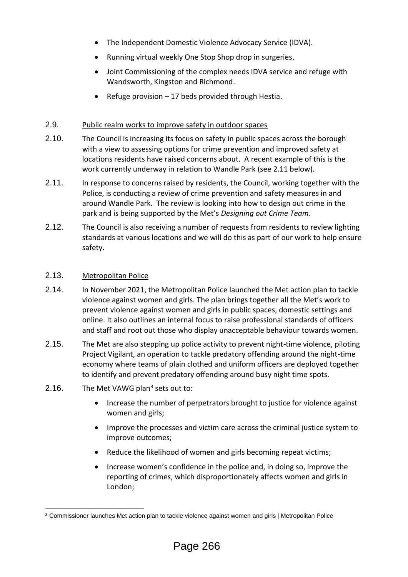- The Independent Domestic Violence Advocacy Service (IDVA).
- Running virtual weekly One Stop Shop drop in surgeries.
- Joint Commissioning of the complex needs IDVA service and refuge with Wandsworth, Kingston and Richmond.
- Refuge provision 17 beds provided through Hestia.

## 2.9. Public realm works to improve safety in outdoor spaces

- 2.10. The Council is increasing its focus on safety in public spaces across the borough with a view to assessing options for crime prevention and improved safety at locations residents have raised concerns about. A recent example of this is the work currently underway in relation to Wandle Park (see 2.11 below).
- 2.11. In response to concerns raised by residents, the Council, working together with the Police, is conducting a review of crime prevention and safety measures in and around Wandle Park. The review is looking into how to design out crime in the park and is being supported by the Met's *Designing out Crime Team*.
- 2.12. The Council is also receiving a number of requests from residents to review lighting standards at various locations and we will do this as part of our work to help ensure safety.

#### 2.13. Metropolitan Police

- 2.14. In November 2021, the Metropolitan Police launched the Met action plan to tackle violence against women and girls. The plan brings together all the Met's work to prevent violence against women and girls in public spaces, domestic settings and online. It also outlines an internal focus to raise professional standards of officers and staff and root out those who display unacceptable behaviour towards women.
- 2.15. The Met are also stepping up police activity to prevent night-time violence, piloting Project Vigilant, an operation to tackle predatory offending around the night-time economy where teams of plain clothed and uniform officers are deployed together to identify and prevent predatory offending around busy night time spots.
- 2.16. The Met VAWG plan<sup>3</sup> sets out to:
	- Increase the number of perpetrators brought to justice for violence against women and girls;
	- Improve the processes and victim care across the criminal justice system to improve outcomes;
	- Reduce the likelihood of women and girls becoming repeat victims;
	- Increase women's confidence in the police and, in doing so, improve the reporting of crimes, which disproportionately affects women and girls in London;

<sup>1</sup> <sup>3</sup> [Commissioner launches Met action plan to tackle violence against women and girls | Metropolitan Police](https://news.met.police.uk/news/commissioner-launches-met-action-plan-to-tackle-violence-against-women-and-girls-436919)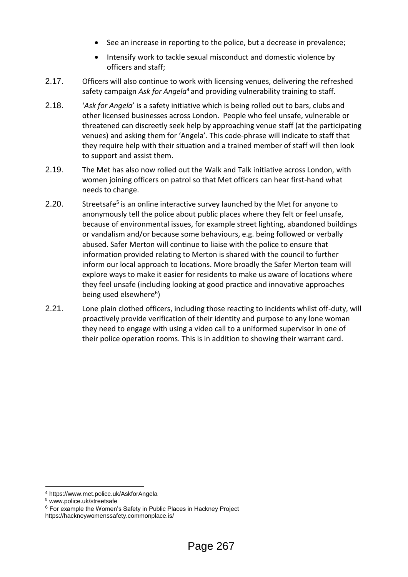- See an increase in reporting to the police, but a decrease in prevalence;
- Intensify work to tackle sexual misconduct and domestic violence by officers and staff;
- 2.17. Officers will also continue to work with licensing venues, delivering the refreshed safety campaign *Ask for Angela*<sup>4</sup> and providing vulnerability training to staff.
- 2.18. '*Ask for Angela*' is a safety initiative which is being rolled out to bars, clubs and other licensed businesses across London. People who feel unsafe, vulnerable or threatened can discreetly seek help by approaching venue staff (at the participating venues) and asking them for 'Angela'. This code-phrase will indicate to staff that they require help with their situation and a trained member of staff will then look to support and assist them.
- 2.19. The Met has also now rolled out the Walk and Talk initiative across London, with women joining officers on patrol so that Met officers can hear first-hand what needs to change.
- 2.20. Streetsafe<sup>5</sup> is an online interactive survey launched by the Met for anyone to anonymously tell the police about public places where they felt or feel unsafe, because of environmental issues, for example street lighting, abandoned buildings or vandalism and/or because some behaviours, e.g. being followed or verbally abused. Safer Merton will continue to liaise with the police to ensure that information provided relating to Merton is shared with the council to further inform our local approach to locations. More broadly the Safer Merton team will explore ways to make it easier for residents to make us aware of locations where they feel unsafe (including looking at good practice and innovative approaches being used elsewhere<sup>6</sup>)
- 2.21. Lone plain clothed officers, including those reacting to incidents whilst off-duty, will proactively provide verification of their identity and purpose to any lone woman they need to engage with using a video call to a uniformed supervisor in one of their police operation rooms. This is in addition to showing their warrant card.

<sup>1</sup> <sup>4</sup> https://www.met.police.uk/AskforAngela

<sup>5</sup> [www.police.uk/streetsafe](http://www.police.uk/streetsafe)

<sup>&</sup>lt;sup>6</sup> For example the Women's Safety in Public Places in Hackney Project

https://hackneywomenssafety.commonplace.is/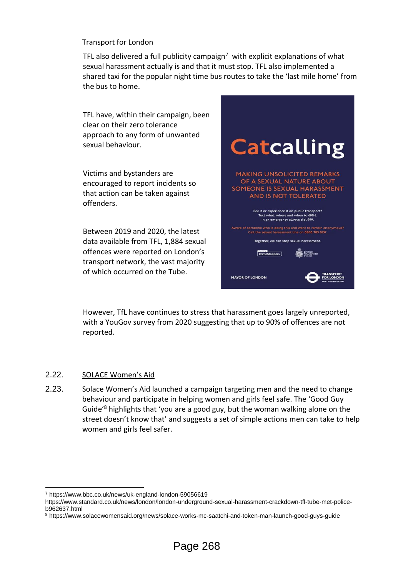## Transport for London

TFL also delivered a full publicity campaign<sup>7</sup> with explicit explanations of what sexual harassment actually is and that it must stop. TFL also implemented a shared taxi for the popular night time bus routes to take the 'last mile home' from the bus to home.

TFL have, within their campaign, been clear on their zero tolerance approach to any form of unwanted sexual behaviour.

Victims and bystanders are encouraged to report incidents so that action can be taken against offenders.

Between 2019 and 2020, the latest data available from TFL, 1,884 sexual offences were reported on London's transport network, the vast majority of which occurred on the Tube.



However, TfL have continues to stress that harassment goes largely unreported, with a YouGov survey from 2020 suggesting that up to 90% of offences are not reported.

## 2.22. SOLACE Women's Aid

<u>.</u>

2.23. Solace Women's Aid launched a campaign targeting men and the need to change behaviour and participate in helping women and girls feel safe. The 'Good Guy Guide'<sup>8</sup> highlights that 'you are a good guy, but the woman walking alone on the street doesn't know that' and suggests a set of simple actions men can take to help women and girls feel safer.

<sup>7</sup> https://www.bbc.co.uk/news/uk-england-london-59056619

https://www.standard.co.uk/news/london/london-underground-sexual-harassment-crackdown-tfl-tube-met-policeb962637.html

<sup>8</sup> https://www.solacewomensaid.org/news/solace-works-mc-saatchi-and-token-man-launch-good-guys-guide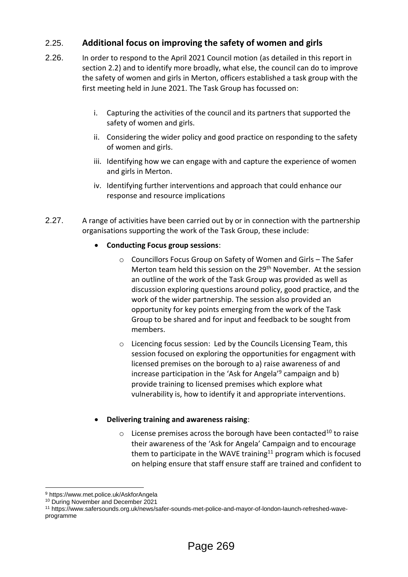## 2.25. **Additional focus on improving the safety of women and girls**

- 2.26. In order to respond to the April 2021 Council motion (as detailed in this report in section 2.2) and to identify more broadly, what else, the council can do to improve the safety of women and girls in Merton, officers established a task group with the first meeting held in June 2021. The Task Group has focussed on:
	- i. Capturing the activities of the council and its partners that supported the safety of women and girls.
	- ii. Considering the wider policy and good practice on responding to the safety of women and girls.
	- iii. Identifying how we can engage with and capture the experience of women and girls in Merton.
	- iv. Identifying further interventions and approach that could enhance our response and resource implications
- 2.27. A range of activities have been carried out by or in connection with the partnership organisations supporting the work of the Task Group, these include:

## **Conducting Focus group sessions**:

- o Councillors Focus Group on Safety of Women and Girls The Safer Merton team held this session on the 29<sup>th</sup> November. At the session an outline of the work of the Task Group was provided as well as discussion exploring questions around policy, good practice, and the work of the wider partnership. The session also provided an opportunity for key points emerging from the work of the Task Group to be shared and for input and feedback to be sought from members.
- o Licencing focus session: Led by the Councils Licensing Team, this session focused on exploring the opportunities for engagment with licensed premises on the borough to a) raise awareness of and increase participation in the 'Ask for Angela'<sup>9</sup> campaign and b) provide training to licensed premises which explore what vulnerability is, how to identify it and appropriate interventions.

## **Delivering training and awareness raising**:

 $\circ$  License premises across the borough have been contacted<sup>10</sup> to raise their awareness of the 'Ask for Angela' Campaign and to encourage them to participate in the WAVE training<sup>11</sup> program which is focused on helping ensure that staff ensure staff are trained and confident to

<u>.</u>

<sup>9</sup> https://www.met.police.uk/AskforAngela

<sup>&</sup>lt;sup>10</sup> During November and December 2021

<sup>11</sup> https://www.safersounds.org.uk/news/safer-sounds-met-police-and-mayor-of-london-launch-refreshed-waveprogramme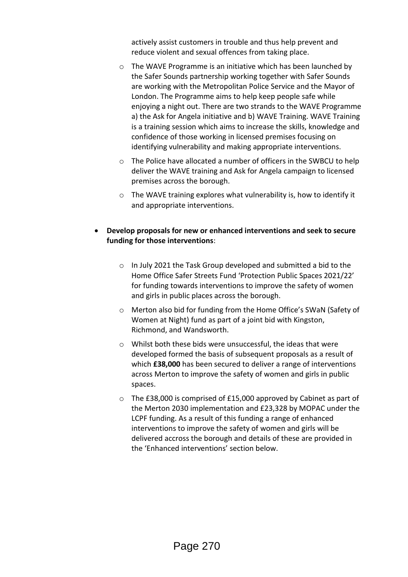actively assist customers in trouble and thus help prevent and reduce violent and sexual offences from taking place.

- o The WAVE Programme is an initiative which has been launched by the Safer Sounds partnership working together with Safer Sounds are working with the Metropolitan Police Service and the Mayor of London. The Programme aims to help keep people safe while enjoying a night out. There are two strands to the WAVE Programme a) the Ask for Angela initiative and b) WAVE Training. WAVE Training is a training session which aims to increase the skills, knowledge and confidence of those working in licensed premises focusing on identifying vulnerability and making appropriate interventions.
- o The Police have allocated a number of officers in the SWBCU to help deliver the WAVE training and Ask for Angela campaign to licensed premises across the borough.
- o The WAVE training explores what vulnerability is, how to identify it and appropriate interventions.
- **Develop proposals for new or enhanced interventions and seek to secure funding for those interventions**:
	- o In July 2021 the Task Group developed and submitted a bid to the Home Office Safer Streets Fund 'Protection Public Spaces 2021/22' for funding towards interventions to improve the safety of women and girls in public places across the borough.
	- o Merton also bid for funding from the Home Office's SWaN (Safety of Women at Night) fund as part of a joint bid with Kingston, Richmond, and Wandsworth.
	- o Whilst both these bids were unsuccessful, the ideas that were developed formed the basis of subsequent proposals as a result of which **£38,000** has been secured to deliver a range of interventions across Merton to improve the safety of women and girls in public spaces.
	- o The £38,000 is comprised of £15,000 approved by Cabinet as part of the Merton 2030 implementation and £23,328 by MOPAC under the LCPF funding. As a result of this funding a range of enhanced interventions to improve the safety of women and girls will be delivered accross the borough and details of these are provided in the 'Enhanced interventions' section below.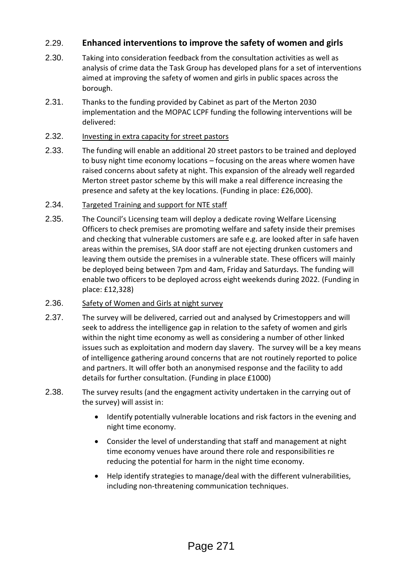## 2.29. **Enhanced interventions to improve the safety of women and girls**

- 2.30. Taking into consideration feedback from the consultation activities as well as analysis of crime data the Task Group has developed plans for a set of interventions aimed at improving the safety of women and girls in public spaces across the borough.
- 2.31. Thanks to the funding provided by Cabinet as part of the Merton 2030 implementation and the MOPAC LCPF funding the following interventions will be delivered:
- 2.32. Investing in extra capacity for street pastors
- 2.33. The funding will enable an additional 20 street pastors to be trained and deployed to busy night time economy locations – focusing on the areas where women have raised concerns about safety at night. This expansion of the already well regarded Merton street pastor scheme by this will make a real difference increasing the presence and safety at the key locations. (Funding in place: £26,000).
- 2.34. Targeted Training and support for NTE staff
- 2.35. The Council's Licensing team will deploy a dedicate roving Welfare Licensing Officers to check premises are promoting welfare and safety inside their premises and checking that vulnerable customers are safe e.g. are looked after in safe haven areas within the premises, SIA door staff are not ejecting drunken customers and leaving them outside the premises in a vulnerable state. These officers will mainly be deployed being between 7pm and 4am, Friday and Saturdays. The funding will enable two officers to be deployed across eight weekends during 2022. (Funding in place: £12,328)

## 2.36. Safety of Women and Girls at night survey

- 2.37. The survey will be delivered, carried out and analysed by Crimestoppers and will seek to address the intelligence gap in relation to the safety of women and girls within the night time economy as well as considering a number of other linked issues such as exploitation and modern day slavery. The survey will be a key means of intelligence gathering around concerns that are not routinely reported to police and partners. It will offer both an anonymised response and the facility to add details for further consultation. (Funding in place £1000)
- 2.38. The survey results (and the engagment activity undertaken in the carrying out of the survey) will assist in:
	- Identify potentially vulnerable locations and risk factors in the evening and night time economy.
	- Consider the level of understanding that staff and management at night time economy venues have around there role and responsibilities re reducing the potential for harm in the night time economy.
	- Help identify strategies to manage/deal with the different vulnerabilities, including non-threatening communication techniques.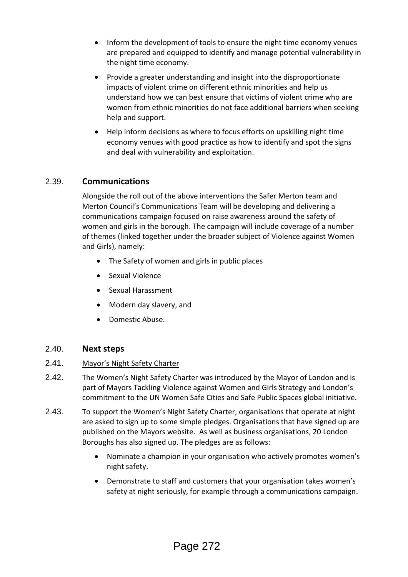- Inform the development of tools to ensure the night time economy venues are prepared and equipped to identify and manage potential vulnerability in the night time economy.
- Provide a greater understanding and insight into the disproportionate impacts of violent crime on different ethnic minorities and help us understand how we can best ensure that victims of violent crime who are women from ethnic minorities do not face additional barriers when seeking help and support.
- Help inform decisions as where to focus efforts on upskilling night time economy venues with good practice as how to identify and spot the signs and deal with vulnerability and exploitation.

## 2.39. **Communications**

Alongside the roll out of the above interventions the Safer Merton team and Merton Council's Communications Team will be developing and delivering a communications campaign focused on raise awareness around the safety of women and girls in the borough. The campaign will include coverage of a number of themes (linked together under the broader subject of Violence against Women and Girls), namely:

- The Safety of women and girls in public places
- Sexual Violence
- Sexual Harassment
- Modern day slavery, and
- Domestic Abuse.

## 2.40. **Next steps**

## 2.41. Mayor's Night Safety Charter

- 2.42. The Women's Night Safety Charter was introduced by the Mayor of London and is part of Mayors Tackling Violence against Women and Girls Strategy and London's commitment to the UN Women Safe Cities and Safe Public Spaces global initiative.
- 2.43. To support the Women's Night Safety Charter, organisations that operate at night are asked to sign up to some simple pledges. Organisations that have signed up are published on the Mayors website. As well as business organisations, 20 London Boroughs has also signed up. The pledges are as follows:
	- Nominate a champion in your organisation who actively promotes women's night safety.
	- Demonstrate to staff and customers that your organisation takes women's safety at night seriously, for example through a communications campaign.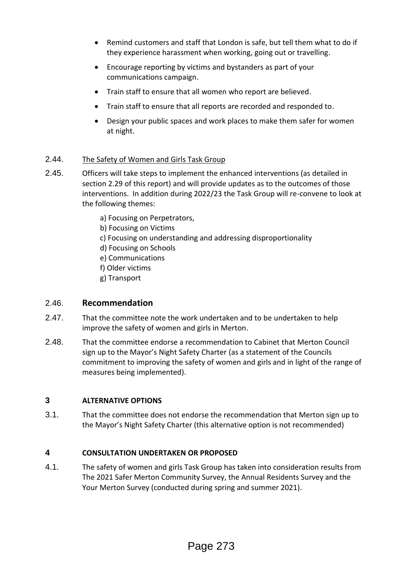- Remind customers and staff that London is safe, but tell them what to do if they experience harassment when working, going out or travelling.
- Encourage reporting by victims and bystanders as part of your communications campaign.
- Train staff to ensure that all women who report are believed.
- Train staff to ensure that all reports are recorded and responded to.
- Design your public spaces and work places to make them safer for women at night.

## 2.44. The Safety of Women and Girls Task Group

- 2.45. Officers will take steps to implement the enhanced interventions (as detailed in section 2.29 of this report) and will provide updates as to the outcomes of those interventions. In addition during 2022/23 the Task Group will re-convene to look at the following themes:
	- a) Focusing on Perpetrators,
	- b) Focusing on Victims
	- c) Focusing on understanding and addressing disproportionality
	- d) Focusing on Schools
	- e) Communications
	- f) Older victims
	- g) Transport

## 2.46. **Recommendation**

- 2.47. That the committee note the work undertaken and to be undertaken to help improve the safety of women and girls in Merton.
- 2.48. That the committee endorse a recommendation to Cabinet that Merton Council sign up to the Mayor's Night Safety Charter (as a statement of the Councils commitment to improving the safety of women and girls and in light of the range of measures being implemented).

## **3 ALTERNATIVE OPTIONS**

3.1. That the committee does not endorse the recommendation that Merton sign up to the Mayor's Night Safety Charter (this alternative option is not recommended)

## **4 CONSULTATION UNDERTAKEN OR PROPOSED**

4.1. The safety of women and girls Task Group has taken into consideration results from The 2021 Safer Merton Community Survey, the Annual Residents Survey and the Your Merton Survey (conducted during spring and summer 2021).